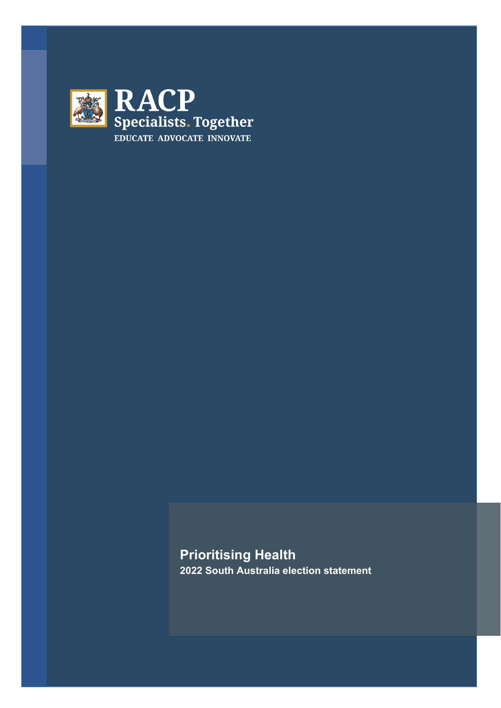

**Prioritising Health 2022 South Australia election statement**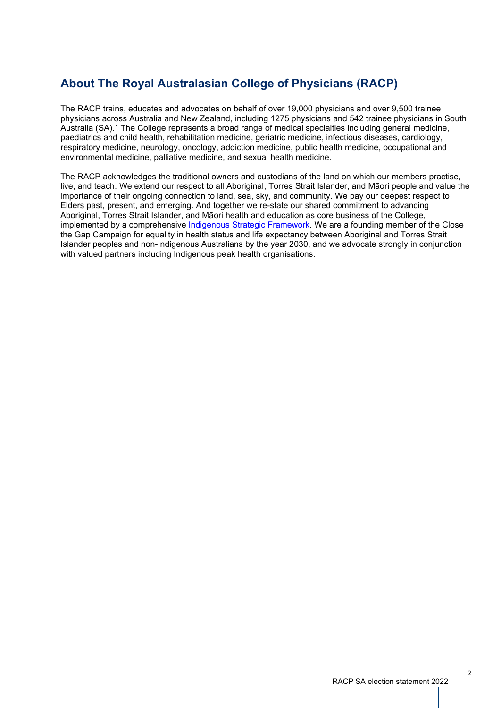# **About The Royal Australasian College of Physicians (RACP)**

The RACP trains, educates and advocates on behalf of over 19,000 physicians and over 9,500 trainee physicians across Australia and New Zealand, including 1275 physicians and 542 trainee physicians in South Australia (SA).[1](#page-6-0) The College represents a broad range of medical specialties including general medicine, paediatrics and child health, rehabilitation medicine, geriatric medicine, infectious diseases, cardiology, respiratory medicine, neurology, oncology, addiction medicine, public health medicine, occupational and environmental medicine, palliative medicine, and sexual health medicine.

The RACP acknowledges the traditional owners and custodians of the land on which our members practise, live, and teach. We extend our respect to all Aboriginal, Torres Strait Islander, and Māori people and value the importance of their ongoing connection to land, sea, sky, and community. We pay our deepest respect to Elders past, present, and emerging. And together we re-state our shared commitment to advancing Aboriginal, Torres Strait Islander, and Māori health and education as core business of the College, implemented by a comprehensive Indigenous Strategic [Framework.](https://www.racp.edu.au/about/board-and-governance/governance-documents/indigenous-strategic-framework-2018-2028) We are a founding member of the Close the Gap Campaign for equality in health status and life expectancy between Aboriginal and Torres Strait Islander peoples and non-Indigenous Australians by the year 2030, and we advocate strongly in conjunction with valued partners including Indigenous peak health organisations.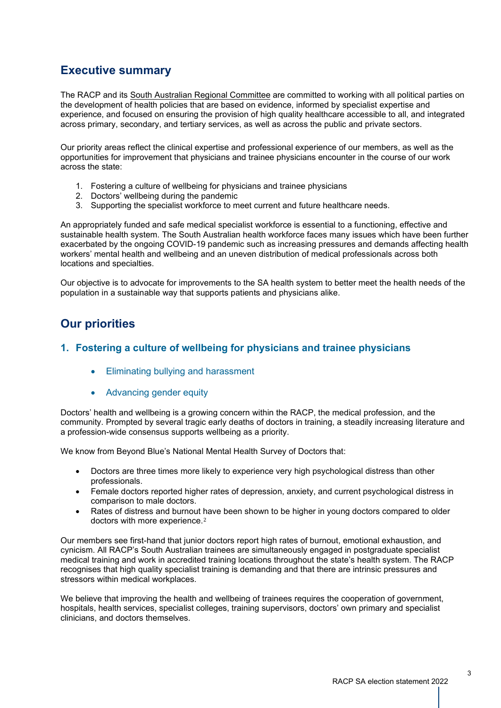## **Executive summary**

The RACP and its South Australian Regional [Committee](https://www.racp.edu.au/about/committees/australian-regions/south-australia) are committed to working with all political parties on the development of health policies that are based on evidence, informed by specialist expertise and experience, and focused on ensuring the provision of high quality healthcare accessible to all, and integrated across primary, secondary, and tertiary services, as well as across the public and private sectors.

Our priority areas reflect the clinical expertise and professional experience of our members, as well as the opportunities for improvement that physicians and trainee physicians encounter in the course of our work across the state:

- 1. Fostering a culture of wellbeing for physicians and trainee physicians
- 2. Doctors' wellbeing during the pandemic
- 3. Supporting the specialist workforce to meet current and future healthcare needs.

An appropriately funded and safe medical specialist workforce is essential to a functioning, effective and sustainable health system. The South Australian health workforce faces many issues which have been further exacerbated by the ongoing COVID-19 pandemic such as increasing pressures and demands affecting health workers' mental health and wellbeing and an uneven distribution of medical professionals across both locations and specialties.

Our objective is to advocate for improvements to the SA health system to better meet the health needs of the population in a sustainable way that supports patients and physicians alike.

## **Our priorities**

## **1. Fostering a culture of wellbeing for physicians and trainee physicians**

- Eliminating bullying and harassment
- Advancing gender equity

Doctors' health and wellbeing is a growing concern within the RACP, the medical profession, and the community. Prompted by several tragic early deaths of doctors in training, a steadily increasing literature and a profession-wide consensus supports wellbeing as a priority.

We know from Beyond Blue's National Mental Health Survey of Doctors that:

- Doctors are three times more likely to experience very high psychological distress than other professionals.
- Female doctors reported higher rates of depression, anxiety, and current psychological distress in comparison to male doctors.
- Rates of distress and burnout have been shown to be higher in young doctors compared to older doctors with more experience.[2](#page-6-1)

Our members see first-hand that junior doctors report high rates of burnout, emotional exhaustion, and cynicism. All RACP's South Australian trainees are simultaneously engaged in postgraduate specialist medical training and work in accredited training locations throughout the state's health system. The RACP recognises that high quality specialist training is demanding and that there are intrinsic pressures and stressors within medical workplaces.

We believe that improving the health and wellbeing of trainees requires the cooperation of government, hospitals, health services, specialist colleges, training supervisors, doctors' own primary and specialist clinicians, and doctors themselves.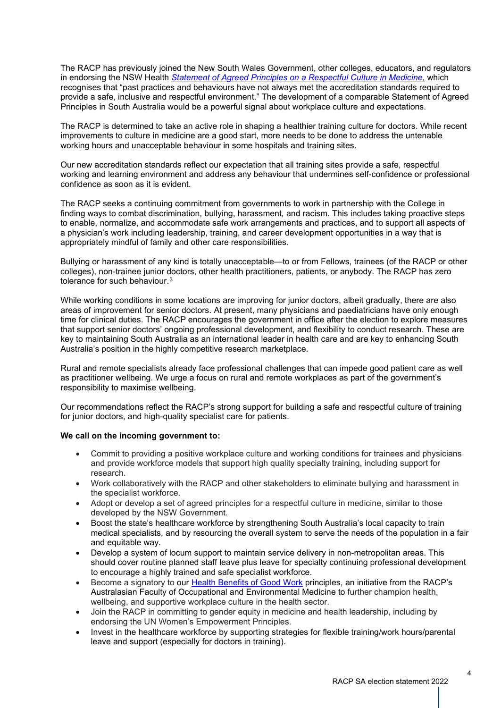The RACP has previously joined the New South Wales Government, other colleges, educators, and regulators in endorsing the NSW Health *Statement of Agreed Principles on a [Respectful](https://www.health.nsw.gov.au/workforce/culture/Publications/respectful-culture-in-medicine.pdf) Culture in Medicine,* which recognises that "past practices and behaviours have not always met the accreditation standards required to provide a safe, inclusive and respectful environment." The development of a comparable Statement of Agreed Principles in South Australia would be a powerful signal about workplace culture and expectations.

The RACP is determined to take an active role in shaping a healthier training culture for doctors. While recent improvements to culture in medicine are a good start, more needs to be done to address the untenable working hours and unacceptable behaviour in some hospitals and training sites.

Our new accreditation standards reflect our expectation that all training sites provide a safe, respectful working and learning environment and address any behaviour that undermines self-confidence or professional confidence as soon as it is evident.

The RACP seeks a continuing commitment from governments to work in partnership with the College in finding ways to combat discrimination, bullying, harassment, and racism. This includes taking proactive steps to enable, normalize, and accommodate safe work arrangements and practices, and to support all aspects of a physician's work including leadership, training, and career development opportunities in a way that is appropriately mindful of family and other care responsibilities.

Bullying or harassment of any kind is totally unacceptable—to or from Fellows, trainees (of the RACP or other colleges), non-trainee junior doctors, other health practitioners, patients, or anybody. The RACP has zero tolerance for such behaviour.<sup>[3](#page-6-2)</sup>

While working conditions in some locations are improving for junior doctors, albeit gradually, there are also areas of improvement for senior doctors. At present, many physicians and paediatricians have only enough time for clinical duties. The RACP encourages the government in office after the election to explore measures that support senior doctors' ongoing professional development, and flexibility to conduct research. These are key to maintaining South Australia as an international leader in health care and are key to enhancing South Australia's position in the highly competitive research marketplace.

Rural and remote specialists already face professional challenges that can impede good patient care as well as practitioner wellbeing. We urge a focus on rural and remote workplaces as part of the government's responsibility to maximise wellbeing.

Our recommendations reflect the RACP's strong support for building a safe and respectful culture of training for junior doctors, and high-quality specialist care for patients.

#### **We call on the incoming government to:**

- Commit to providing a positive workplace culture and working conditions for trainees and physicians and provide workforce models that support high quality specialty training, including support for research.
- Work collaboratively with the RACP and other stakeholders to eliminate bullying and harassment in the specialist workforce.
- Adopt or develop a set of agreed principles for a respectful culture in medicine, similar to those developed by the NSW Government.
- Boost the state's healthcare workforce by strengthening South Australia's local capacity to train medical specialists, and by resourcing the overall system to serve the needs of the population in a fair and equitable way.
- Develop a system of locum support to maintain service delivery in non-metropolitan areas. This should cover routine planned staff leave plus leave for specialty continuing professional development to encourage a highly trained and safe specialist workforce.
- Become a signatory to our Health [Benefits](https://www.racp.edu.au/advocacy/division-faculty-and-chapter-priorities/faculty-of-occupational-environmental-medicine/health-benefits-of-good-work) of Good Work principles, an initiative from the RACP's Australasian Faculty of Occupational and Environmental Medicine to further champion health, wellbeing, and supportive workplace culture in the health sector.
- Join the RACP in committing to gender equity in medicine and health leadership, including by endorsing the UN Women's Empowerment Principles.
- Invest in the healthcare workforce by supporting strategies for flexible training/work hours/parental leave and support (especially for doctors in training).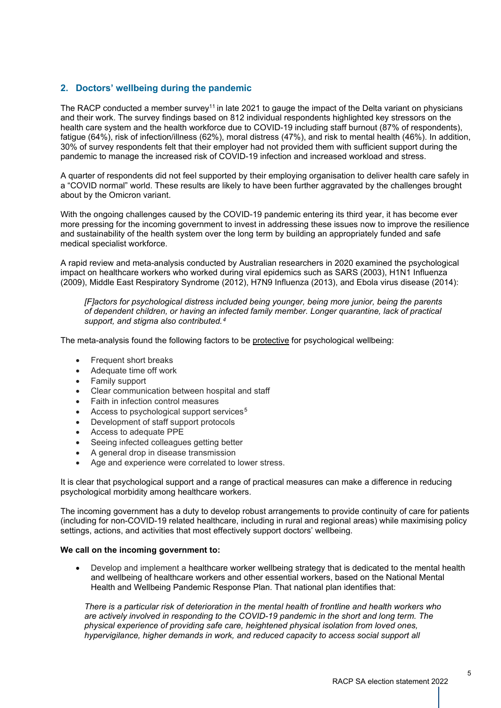### **2. Doctors' wellbeing during the pandemic**

The RACP conducted a member survey<sup>11</sup> in late 2021 to gauge the impact of the Delta variant on physicians and their work. The survey findings based on 812 individual respondents highlighted key stressors on the health care system and the health workforce due to COVID-19 including staff burnout (87% of respondents), fatigue (64%), risk of infection/illness (62%), moral distress (47%), and risk to mental health (46%). In addition, 30% of survey respondents felt that their employer had not provided them with sufficient support during the pandemic to manage the increased risk of COVID-19 infection and increased workload and stress.

A quarter of respondents did not feel supported by their employing organisation to deliver health care safely in a "COVID normal" world. These results are likely to have been further aggravated by the challenges brought about by the Omicron variant.

With the ongoing challenges caused by the COVID-19 pandemic entering its third year, it has become ever more pressing for the incoming government to invest in addressing these issues now to improve the resilience and sustainability of the health system over the long term by building an appropriately funded and safe medical specialist workforce.

A rapid review and meta-analysis conducted by Australian researchers in 2020 examined the psychological impact on healthcare workers who worked during viral epidemics such as SARS (2003), H1N1 Influenza (2009), Middle East Respiratory Syndrome (2012), H7N9 Influenza (2013), and Ebola virus disease (2014):

*[F]actors for psychological distress included being younger, being more junior, being the parents of dependent children, or having an infected family member. Longer quarantine, lack of practical support, and stigma also contributed.[4](#page-6-3)*

The meta-analysis found the following factors to be protective for psychological wellbeing:

- Frequent short breaks
- Adequate time off work
- Family support
- Clear communication between hospital and staff
- Faith in infection control measures
- Access to psychological support services<sup>[5](#page-6-4)</sup>
- Development of staff support protocols
- Access to adequate PPE
- Seeing infected colleagues getting better
- A general drop in disease transmission
- Age and experience were correlated to lower stress.

It is clear that psychological support and a range of practical measures can make a difference in reducing psychological morbidity among healthcare workers.

The incoming government has a duty to develop robust arrangements to provide continuity of care for patients (including for non-COVID-19 related healthcare, including in rural and regional areas) while maximising policy settings, actions, and activities that most effectively support doctors' wellbeing.

#### **We call on the incoming government to:**

• Develop and implement a healthcare worker wellbeing strategy that is dedicated to the mental health and wellbeing of healthcare workers and other essential workers, based on the National Mental Health and Wellbeing Pandemic Response Plan. That national plan identifies that:

*There is a particular risk of deterioration in the mental health of frontline and health workers who are actively involved in responding to the COVID-19 pandemic in the short and long term. The physical experience of providing safe care, heightened physical isolation from loved ones, hypervigilance, higher demands in work, and reduced capacity to access social support all*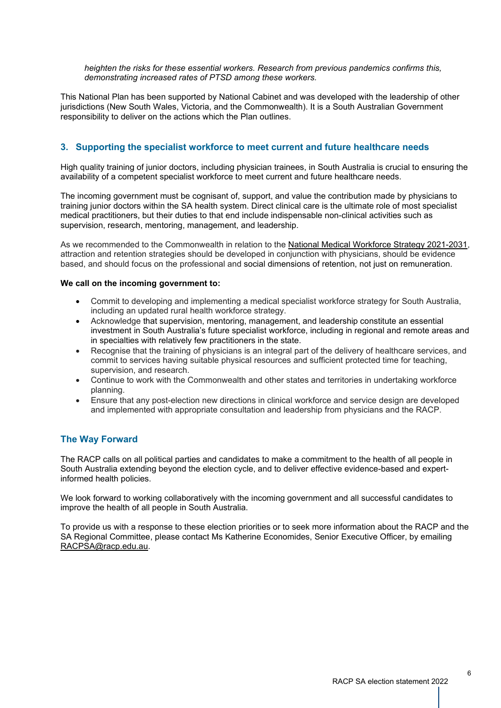*heighten the risks for these essential workers. Research from previous pandemics confirms this, demonstrating increased rates of PTSD among these workers.*

This National Plan has been supported by National Cabinet and was developed with the leadership of other jurisdictions (New South Wales, Victoria, and the Commonwealth). It is a South Australian Government responsibility to deliver on the actions which the Plan outlines.

### **3. Supporting the specialist workforce to meet current and future healthcare needs**

High quality training of junior doctors, including physician trainees, in South Australia is crucial to ensuring the availability of a competent specialist workforce to meet current and future healthcare needs.

The incoming government must be cognisant of, support, and value the contribution made by physicians to training junior doctors within the SA health system. Direct clinical care is the ultimate role of most specialist medical practitioners, but their duties to that end include indispensable non-clinical activities such as supervision, research, mentoring, management, and leadership.

As we recommended to the Commonwealth in relation to the National Medical Workforce Strategy [2021-2031,](https://www.health.gov.au/sites/default/files/documents/2022/01/national-medical-workforce-strategy-2021-2031_0.pdf) attraction and retention strategies should be developed in conjunction with physicians, should be evidence based, and should focus on the professional and social dimensions of retention, not just on remuneration.

#### **We call on the incoming government to:**

- Commit to developing and implementing a medical specialist workforce strategy for South Australia, including an updated rural health workforce strategy.
- Acknowledge that supervision, mentoring, management, and leadership constitute an essential investment in South Australia's future specialist workforce, including in regional and remote areas and in specialties with relatively few practitioners in the state.
- Recognise that the training of physicians is an integral part of the delivery of healthcare services, and commit to services having suitable physical resources and sufficient protected time for teaching, supervision, and research.
- Continue to work with the Commonwealth and other states and territories in undertaking workforce planning.
- Ensure that any post-election new directions in clinical workforce and service design are developed and implemented with appropriate consultation and leadership from physicians and the RACP.

### **The Way Forward**

The RACP calls on all political parties and candidates to make a commitment to the health of all people in South Australia extending beyond the election cycle, and to deliver effective evidence-based and expertinformed health policies.

We look forward to working collaboratively with the incoming government and all successful candidates to improve the health of all people in South Australia.

To provide us with a response to these election priorities or to seek more information about the RACP and the SA Regional Committee, please contact Ms Katherine Economides, Senior Executive Officer, by emailing [RACPSA@racp.edu.au.](mailto:RACPSA@racp.edu.au)